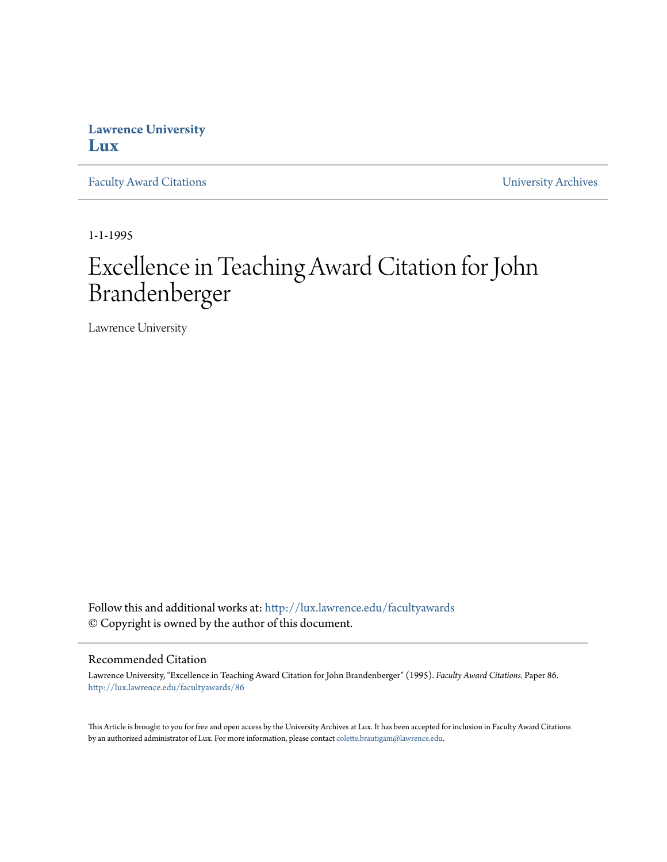## **Lawrence University [Lux](http://lux.lawrence.edu?utm_source=lux.lawrence.edu%2Ffacultyawards%2F86&utm_medium=PDF&utm_campaign=PDFCoverPages)**

[Faculty Award Citations](http://lux.lawrence.edu/facultyawards?utm_source=lux.lawrence.edu%2Ffacultyawards%2F86&utm_medium=PDF&utm_campaign=PDFCoverPages) **Example 2018** [University Archives](http://lux.lawrence.edu/archives?utm_source=lux.lawrence.edu%2Ffacultyawards%2F86&utm_medium=PDF&utm_campaign=PDFCoverPages)

1-1-1995

# Excellence in Teaching Award Citation for John Brandenberger

Lawrence University

Follow this and additional works at: [http://lux.lawrence.edu/facultyawards](http://lux.lawrence.edu/facultyawards?utm_source=lux.lawrence.edu%2Ffacultyawards%2F86&utm_medium=PDF&utm_campaign=PDFCoverPages) © Copyright is owned by the author of this document.

#### Recommended Citation

Lawrence University, "Excellence in Teaching Award Citation for John Brandenberger" (1995). *Faculty Award Citations.* Paper 86. [http://lux.lawrence.edu/facultyawards/86](http://lux.lawrence.edu/facultyawards/86?utm_source=lux.lawrence.edu%2Ffacultyawards%2F86&utm_medium=PDF&utm_campaign=PDFCoverPages)

This Article is brought to you for free and open access by the University Archives at Lux. It has been accepted for inclusion in Faculty Award Citations by an authorized administrator of Lux. For more information, please contact [colette.brautigam@lawrence.edu](mailto:colette.brautigam@lawrence.edu).